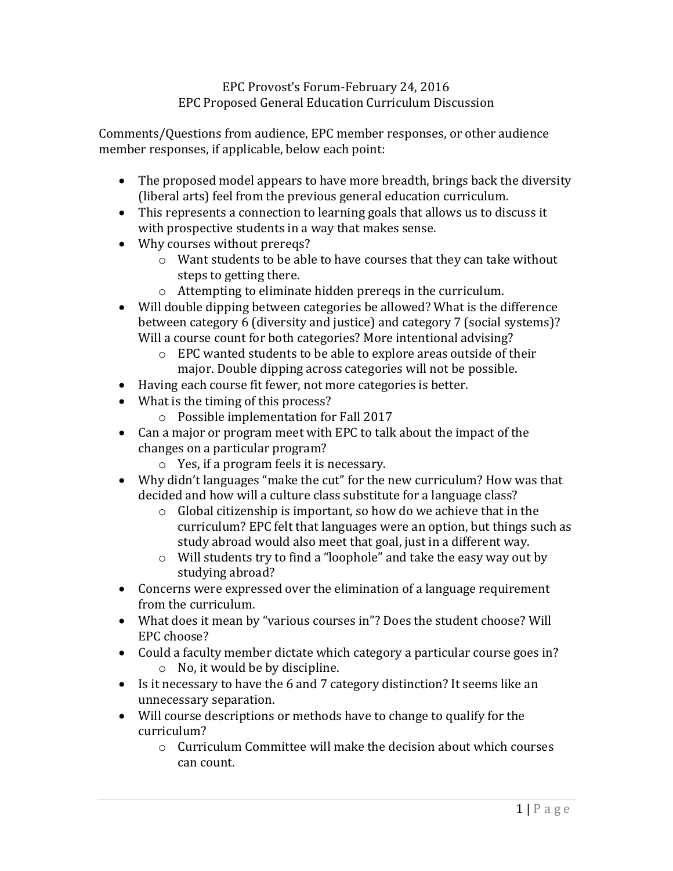## EPC Provost's Forum-February 24, 2016 EPC Proposed General Education Curriculum Discussion

Comments/Questions from audience, EPC member responses, or other audience member responses, if applicable, below each point:

- The proposed model appears to have more breadth, brings back the diversity (liberal arts) feel from the previous general education curriculum.
- This represents a connection to learning goals that allows us to discuss it with prospective students in a way that makes sense.
- Why courses without prereqs?
	- o Want students to be able to have courses that they can take without steps to getting there.
	- o Attempting to eliminate hidden prereqs in the curriculum.
- Will double dipping between categories be allowed? What is the difference between category 6 (diversity and justice) and category 7 (social systems)? Will a course count for both categories? More intentional advising?
	- o EPC wanted students to be able to explore areas outside of their major. Double dipping across categories will not be possible.
- Having each course fit fewer, not more categories is better.
- What is the timing of this process?
	- o Possible implementation for Fall 2017
- Can a major or program meet with EPC to talk about the impact of the changes on a particular program?
	- o Yes, if a program feels it is necessary.
- Why didn't languages "make the cut" for the new curriculum? How was that decided and how will a culture class substitute for a language class?
	- o Global citizenship is important, so how do we achieve that in the curriculum? EPC felt that languages were an option, but things such as study abroad would also meet that goal, just in a different way.
	- o Will students try to find a "loophole" and take the easy way out by studying abroad?
- Concerns were expressed over the elimination of a language requirement from the curriculum.
- What does it mean by "various courses in"? Does the student choose? Will EPC choose?
- Could a faculty member dictate which category a particular course goes in? o No, it would be by discipline.
- Is it necessary to have the 6 and 7 category distinction? It seems like an unnecessary separation.
- Will course descriptions or methods have to change to qualify for the curriculum?
	- $\circ$  Curriculum Committee will make the decision about which courses can count.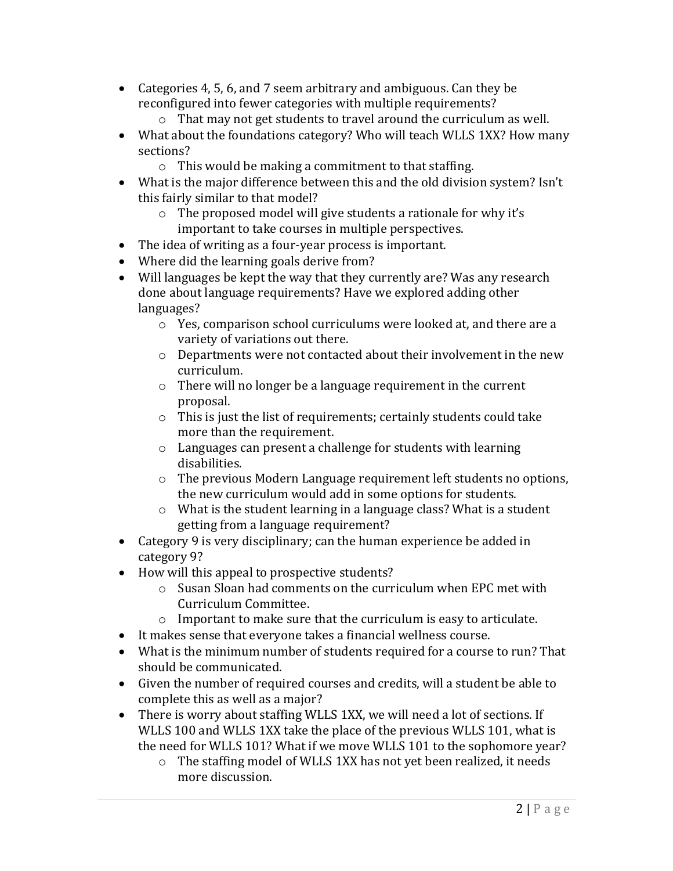- Categories 4, 5, 6, and 7 seem arbitrary and ambiguous. Can they be reconfigured into fewer categories with multiple requirements?
	- o That may not get students to travel around the curriculum as well.
- What about the foundations category? Who will teach WLLS 1XX? How many sections?
	- o This would be making a commitment to that staffing.
- What is the major difference between this and the old division system? Isn't this fairly similar to that model?
	- o The proposed model will give students a rationale for why it's important to take courses in multiple perspectives.
- The idea of writing as a four-year process is important.
- Where did the learning goals derive from?
- Will languages be kept the way that they currently are? Was any research done about language requirements? Have we explored adding other languages?
	- o Yes, comparison school curriculums were looked at, and there are a variety of variations out there.
	- o Departments were not contacted about their involvement in the new curriculum.
	- o There will no longer be a language requirement in the current proposal.
	- o This is just the list of requirements; certainly students could take more than the requirement.
	- o Languages can present a challenge for students with learning disabilities.
	- o The previous Modern Language requirement left students no options, the new curriculum would add in some options for students.
	- o What is the student learning in a language class? What is a student getting from a language requirement?
- Category 9 is very disciplinary; can the human experience be added in category 9?
- How will this appeal to prospective students?
	- o Susan Sloan had comments on the curriculum when EPC met with Curriculum Committee.
	- o Important to make sure that the curriculum is easy to articulate.
- It makes sense that everyone takes a financial wellness course.
- What is the minimum number of students required for a course to run? That should be communicated.
- Given the number of required courses and credits, will a student be able to complete this as well as a major?
- There is worry about staffing WLLS 1XX, we will need a lot of sections. If WLLS 100 and WLLS 1XX take the place of the previous WLLS 101, what is the need for WLLS 101? What if we move WLLS 101 to the sophomore year?
	- o The staffing model of WLLS 1XX has not yet been realized, it needs more discussion.